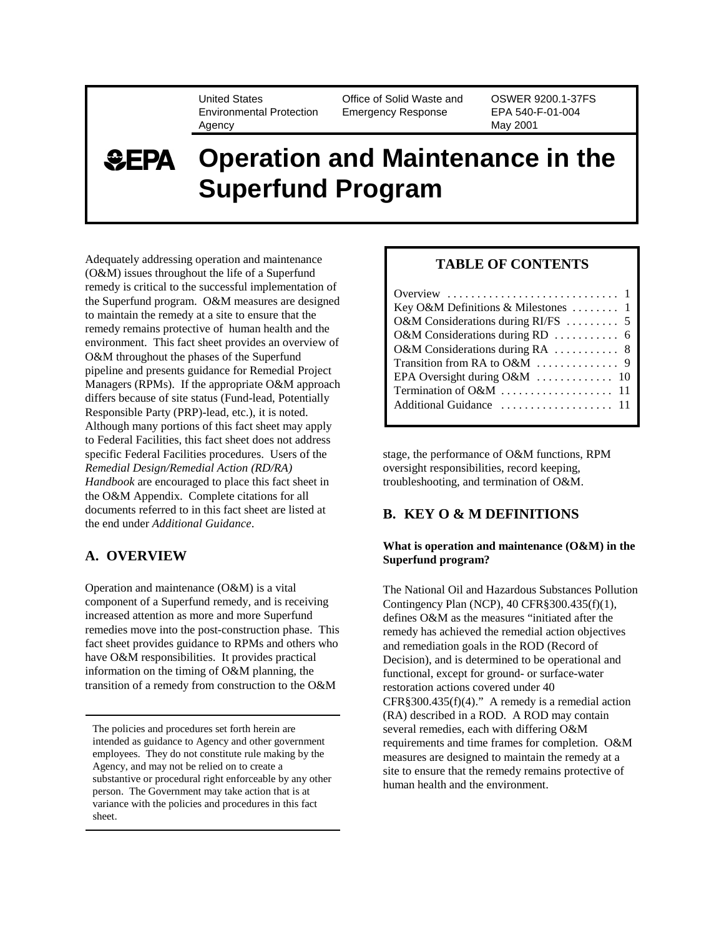United States Environmental Protection Agency

Office of Solid Waste and Emergency Response

OSWER 9200.1-37FS EPA 540-F-01-004 May 2001

# **SEPA Operation and Maintenance in the Superfund Program**

Adequately addressing operation and maintenance (O&M) issues throughout the life of a Superfund remedy is critical to the successful implementation of the Superfund program. O&M measures are designed to maintain the remedy at a site to ensure that the remedy remains protective of human health and the environment. This fact sheet provides an overview of O&M throughout the phases of the Superfund pipeline and presents guidance for Remedial Project Managers (RPMs). If the appropriate O&M approach differs because of site status (Fund-lead, Potentially Responsible Party (PRP)-lead, etc.), it is noted. Although many portions of this fact sheet may apply to Federal Facilities, this fact sheet does not address specific Federal Facilities procedures. Users of the *Remedial Design/Remedial Action (RD/RA) Handbook* are encouraged to place this fact sheet in the O&M Appendix. Complete citations for all documents referred to in this fact sheet are listed at the end under *Additional Guidance*.

## **A. OVERVIEW**

Operation and maintenance (O&M) is a vital component of a Superfund remedy, and is receiving increased attention as more and more Superfund remedies move into the post-construction phase. This fact sheet provides guidance to RPMs and others who have O&M responsibilities. It provides practical information on the timing of O&M planning, the transition of a remedy from construction to the O&M

The policies and procedures set forth herein are intended as guidance to Agency and other government employees. They do not constitute rule making by the Agency, and may not be relied on to create a substantive or procedural right enforceable by any other person. The Government may take action that is at variance with the policies and procedures in this fact sheet.

## **TABLE OF CONTENTS**

| Overview $\dots \dots \dots \dots \dots \dots \dots \dots \dots \dots$ |
|------------------------------------------------------------------------|
| Key O&M Definitions & Milestones  1                                    |
| O&M Considerations during RI/FS  5                                     |
|                                                                        |
| O&M Considerations during RA  8                                        |
|                                                                        |
|                                                                        |
|                                                                        |
|                                                                        |
|                                                                        |

stage, the performance of O&M functions, RPM oversight responsibilities, record keeping, troubleshooting, and termination of O&M.

## **B. KEY O & M DEFINITIONS**

## **What is operation and maintenance (O&M) in the Superfund program?**

The National Oil and Hazardous Substances Pollution Contingency Plan (NCP), 40 CFR§300.435(f)(1), defines O&M as the measures "initiated after the remedy has achieved the remedial action objectives and remediation goals in the ROD (Record of Decision), and is determined to be operational and functional, except for ground- or surface-water restoration actions covered under 40  $CFR\$ 300.435(f)(4)." A remedy is a remedial action (RA) described in a ROD. A ROD may contain several remedies, each with differing O&M requirements and time frames for completion. O&M measures are designed to maintain the remedy at a site to ensure that the remedy remains protective of human health and the environment.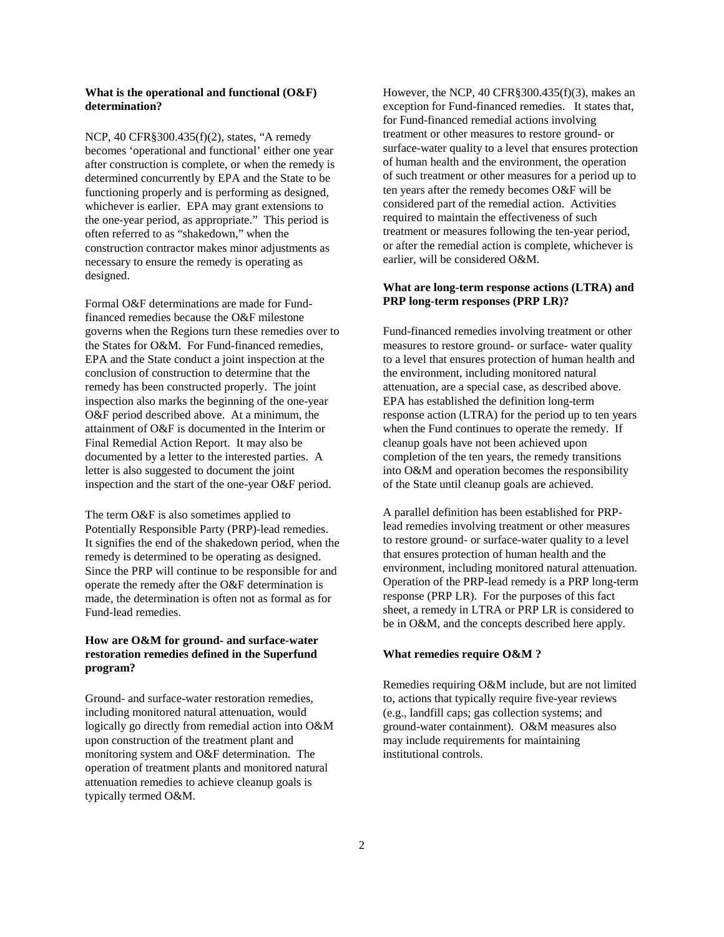### **What is the operational and functional (O&F) determination?**

NCP, 40 CFR§300.435(f)(2), states, "A remedy becomes 'operational and functional' either one year after construction is complete, or when the remedy is determined concurrently by EPA and the State to be functioning properly and is performing as designed, whichever is earlier. EPA may grant extensions to the one-year period, as appropriate." This period is often referred to as "shakedown," when the construction contractor makes minor adjustments as necessary to ensure the remedy is operating as designed.

Formal O&F determinations are made for Fundfinanced remedies because the O&F milestone governs when the Regions turn these remedies over to the States for O&M. For Fund-financed remedies, EPA and the State conduct a joint inspection at the conclusion of construction to determine that the remedy has been constructed properly. The joint inspection also marks the beginning of the one-year O&F period described above. At a minimum, the attainment of O&F is documented in the Interim or Final Remedial Action Report. It may also be documented by a letter to the interested parties. A letter is also suggested to document the joint inspection and the start of the one-year O&F period.

The term O&F is also sometimes applied to Potentially Responsible Party (PRP)-lead remedies. It signifies the end of the shakedown period, when the remedy is determined to be operating as designed. Since the PRP will continue to be responsible for and operate the remedy after the O&F determination is made, the determination is often not as formal as for Fund-lead remedies.

## **How are O&M for ground- and surface-water restoration remedies defined in the Superfund program?**

Ground- and surface-water restoration remedies, including monitored natural attenuation, would logically go directly from remedial action into O&M upon construction of the treatment plant and monitoring system and O&F determination. The operation of treatment plants and monitored natural attenuation remedies to achieve cleanup goals is typically termed O&M.

However, the NCP, 40 CFR§300.435(f)(3), makes an exception for Fund-financed remedies. It states that, for Fund-financed remedial actions involving treatment or other measures to restore ground- or surface-water quality to a level that ensures protection of human health and the environment, the operation of such treatment or other measures for a period up to ten years after the remedy becomes O&F will be considered part of the remedial action. Activities required to maintain the effectiveness of such treatment or measures following the ten-year period, or after the remedial action is complete, whichever is earlier, will be considered O&M.

### **What are long-term response actions (LTRA) and PRP long-term responses (PRP LR)?**

Fund-financed remedies involving treatment or other measures to restore ground- or surface- water quality to a level that ensures protection of human health and the environment, including monitored natural attenuation, are a special case, as described above. EPA has established the definition long-term response action (LTRA) for the period up to ten years when the Fund continues to operate the remedy. If cleanup goals have not been achieved upon completion of the ten years, the remedy transitions into O&M and operation becomes the responsibility of the State until cleanup goals are achieved.

A parallel definition has been established for PRPlead remedies involving treatment or other measures to restore ground- or surface-water quality to a level that ensures protection of human health and the environment, including monitored natural attenuation. Operation of the PRP-lead remedy is a PRP long-term response (PRP LR). For the purposes of this fact sheet, a remedy in LTRA or PRP LR is considered to be in O&M, and the concepts described here apply.

#### **What remedies require O&M ?**

Remedies requiring O&M include, but are not limited to, actions that typically require five-year reviews (e.g., landfill caps; gas collection systems; and ground-water containment). O&M measures also may include requirements for maintaining institutional controls.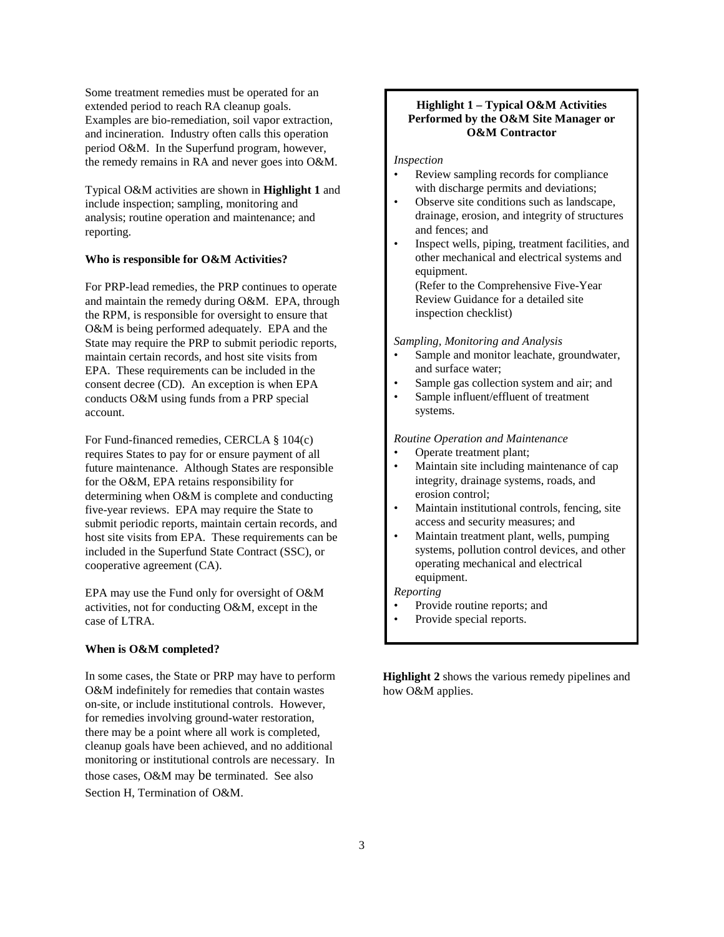Some treatment remedies must be operated for an extended period to reach RA cleanup goals. Examples are bio-remediation, soil vapor extraction, and incineration. Industry often calls this operation period O&M. In the Superfund program, however, the remedy remains in RA and never goes into O&M.

Typical O&M activities are shown in **Highlight 1** and include inspection; sampling, monitoring and analysis; routine operation and maintenance; and reporting.

## **Who is responsible for O&M Activities?**

For PRP-lead remedies, the PRP continues to operate and maintain the remedy during O&M. EPA, through the RPM, is responsible for oversight to ensure that O&M is being performed adequately. EPA and the State may require the PRP to submit periodic reports, maintain certain records, and host site visits from EPA. These requirements can be included in the consent decree (CD). An exception is when EPA conducts O&M using funds from a PRP special account.

For Fund-financed remedies, CERCLA § 104(c) requires States to pay for or ensure payment of all future maintenance. Although States are responsible for the O&M, EPA retains responsibility for determining when O&M is complete and conducting five-year reviews. EPA may require the State to submit periodic reports, maintain certain records, and host site visits from EPA. These requirements can be included in the Superfund State Contract (SSC), or cooperative agreement (CA).

EPA may use the Fund only for oversight of O&M activities, not for conducting O&M, except in the case of LTRA.

#### **When is O&M completed?**

In some cases, the State or PRP may have to perform O&M indefinitely for remedies that contain wastes on-site, or include institutional controls. However, for remedies involving ground-water restoration, there may be a point where all work is completed, cleanup goals have been achieved, and no additional monitoring or institutional controls are necessary. In those cases, O&M may be terminated. See also Section H, Termination of O&M.

## **Highlight 1 – Typical O&M Activities Performed by the O&M Site Manager or O&M Contractor**

#### *Inspection*

- Review sampling records for compliance with discharge permits and deviations;
- Observe site conditions such as landscape, drainage, erosion, and integrity of structures and fences; and
- Inspect wells, piping, treatment facilities, and other mechanical and electrical systems and equipment. (Refer to the Comprehensive Five-Year Review Guidance for a detailed site inspection checklist)

*Sampling, Monitoring and Analysis* 

- Sample and monitor leachate, groundwater, and surface water;
- Sample gas collection system and air; and
- Sample influent/effluent of treatment systems.

#### *Routine Operation and Maintenance*

- Operate treatment plant;
- Maintain site including maintenance of cap integrity, drainage systems, roads, and erosion control;
- Maintain institutional controls, fencing, site access and security measures; and
- Maintain treatment plant, wells, pumping systems, pollution control devices, and other operating mechanical and electrical equipment.

### *Reporting*

- Provide routine reports; and
- Provide special reports.

**Highlight 2** shows the various remedy pipelines and how O&M applies.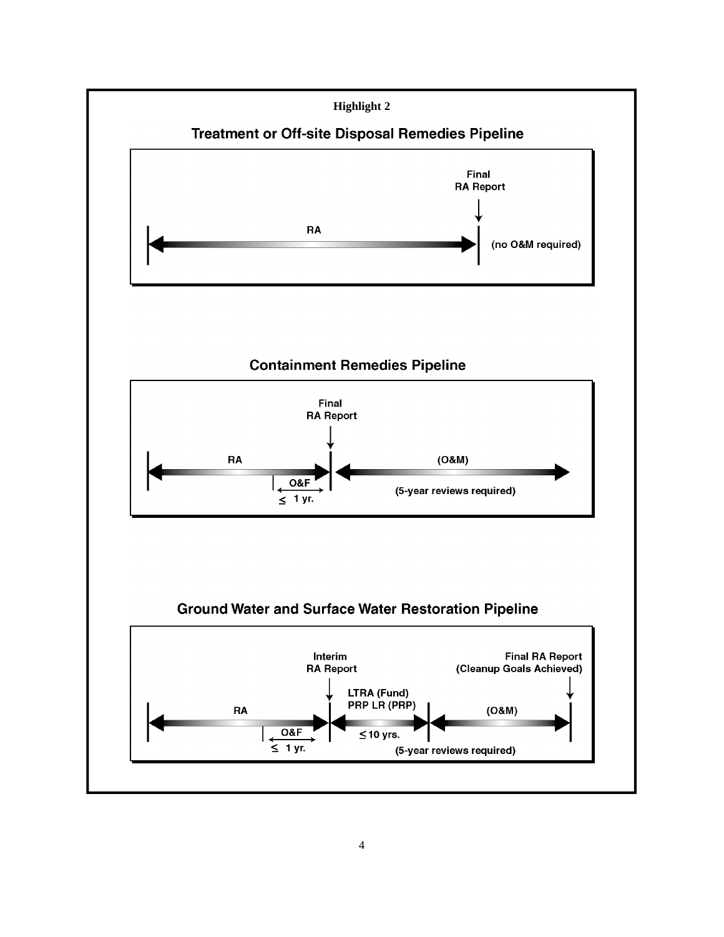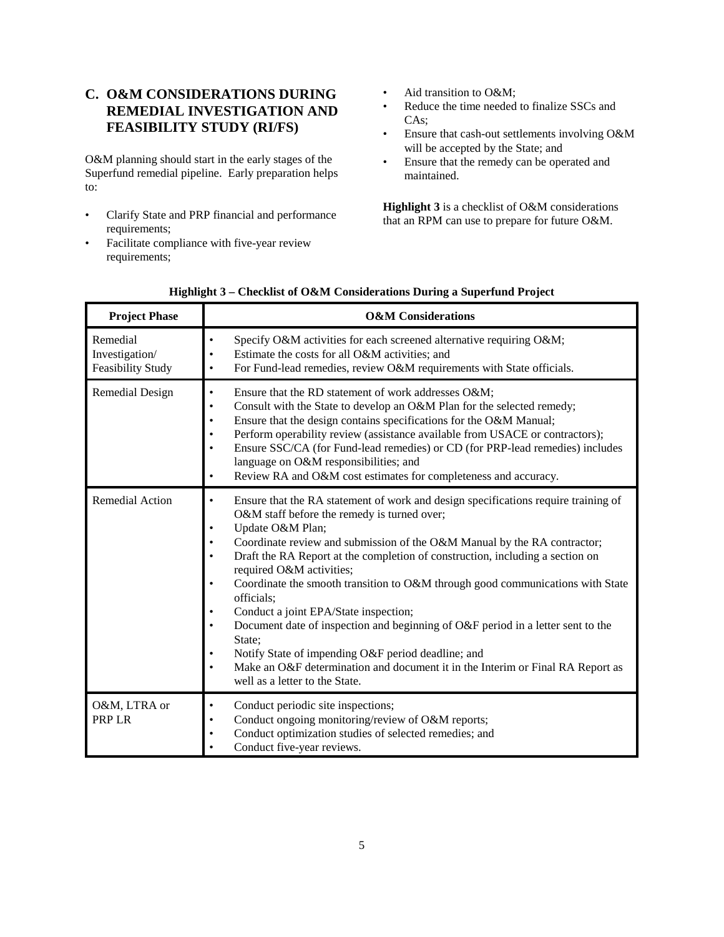## **C. O&M CONSIDERATIONS DURING REMEDIAL INVESTIGATION AND FEASIBILITY STUDY (RI/FS)**

O&M planning should start in the early stages of the Superfund remedial pipeline. Early preparation helps to:

- • Clarify State and PRP financial and performance requirements;
- • Facilitate compliance with five-year review requirements;
- Aid transition to O&M;
- Reduce the time needed to finalize SSCs and CAs;
- Ensure that cash-out settlements involving O&M will be accepted by the State; and
- • Ensure that the remedy can be operated and maintained.

**Highlight 3** is a checklist of O&M considerations that an RPM can use to prepare for future O&M.

| <b>Project Phase</b>                            | <b>O&amp;M</b> Considerations                                                                                                                                                                                                                                                                                                                                                                                                                                                                                                                                                                                                                                                                                                                                                            |  |  |
|-------------------------------------------------|------------------------------------------------------------------------------------------------------------------------------------------------------------------------------------------------------------------------------------------------------------------------------------------------------------------------------------------------------------------------------------------------------------------------------------------------------------------------------------------------------------------------------------------------------------------------------------------------------------------------------------------------------------------------------------------------------------------------------------------------------------------------------------------|--|--|
| Remedial<br>Investigation/<br>Feasibility Study | Specify O&M activities for each screened alternative requiring O&M<br>$\bullet$<br>Estimate the costs for all O&M activities; and<br>٠<br>For Fund-lead remedies, review O&M requirements with State officials.<br>$\bullet$                                                                                                                                                                                                                                                                                                                                                                                                                                                                                                                                                             |  |  |
| Remedial Design                                 | Ensure that the RD statement of work addresses O&M<br>$\bullet$<br>Consult with the State to develop an O&M Plan for the selected remedy;<br>$\bullet$<br>Ensure that the design contains specifications for the O&M Manual;<br>Perform operability review (assistance available from USACE or contractors);<br>Ensure SSC/CA (for Fund-lead remedies) or CD (for PRP-lead remedies) includes<br>language on O&M responsibilities; and<br>Review RA and O&M cost estimates for completeness and accuracy.<br>٠                                                                                                                                                                                                                                                                           |  |  |
| Remedial Action                                 | Ensure that the RA statement of work and design specifications require training of<br>$\bullet$<br>O&M staff before the remedy is turned over;<br>Update O&M Plan;<br>Coordinate review and submission of the O&M Manual by the RA contractor;<br>Draft the RA Report at the completion of construction, including a section on<br>required O&M activities;<br>Coordinate the smooth transition to O&M through good communications with State<br>officials;<br>Conduct a joint EPA/State inspection;<br>Document date of inspection and beginning of O&F period in a letter sent to the<br>State;<br>Notify State of impending O&F period deadline; and<br>Make an O&F determination and document it in the Interim or Final RA Report as<br>$\bullet$<br>well as a letter to the State. |  |  |
| O&M, LTRA or<br>PRP LR                          | Conduct periodic site inspections;<br>$\bullet$<br>Conduct ongoing monitoring/review of O&M reports;<br>Conduct optimization studies of selected remedies; and<br>Conduct five-year reviews.                                                                                                                                                                                                                                                                                                                                                                                                                                                                                                                                                                                             |  |  |

| Highlight 3 – Checklist of O&M Considerations During a Superfund Project |  |  |
|--------------------------------------------------------------------------|--|--|
|--------------------------------------------------------------------------|--|--|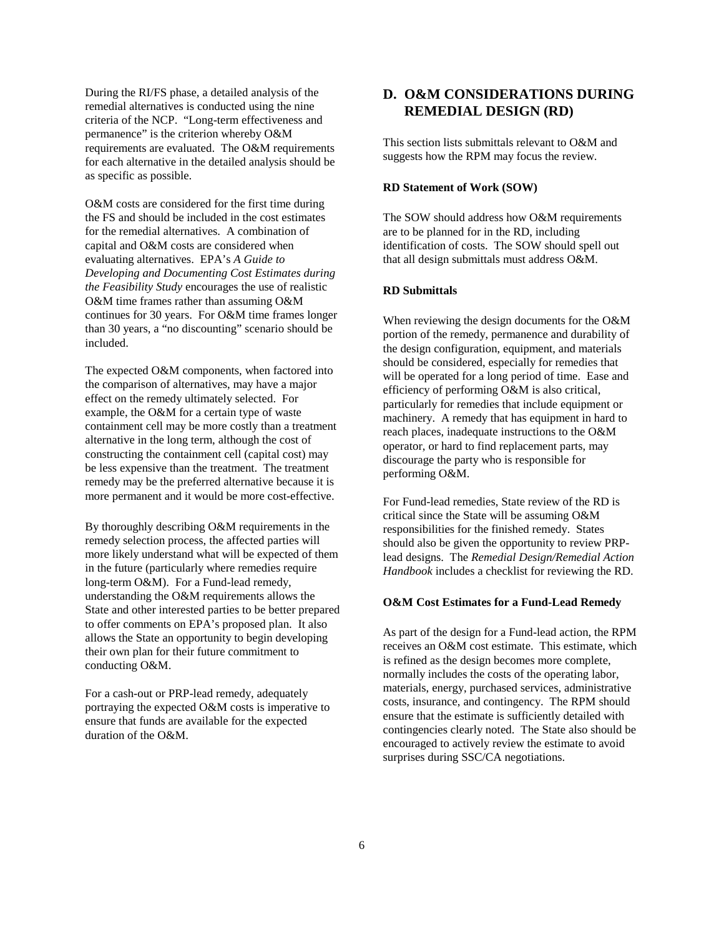During the RI/FS phase, a detailed analysis of the remedial alternatives is conducted using the nine criteria of the NCP. "Long-term effectiveness and permanence" is the criterion whereby O&M requirements are evaluated. The O&M requirements for each alternative in the detailed analysis should be as specific as possible.

O&M costs are considered for the first time during the FS and should be included in the cost estimates for the remedial alternatives. A combination of capital and O&M costs are considered when evaluating alternatives. EPA's *A Guide to Developing and Documenting Cost Estimates during the Feasibility Study* encourages the use of realistic O&M time frames rather than assuming O&M continues for 30 years. For O&M time frames longer than 30 years, a "no discounting" scenario should be included.

The expected O&M components, when factored into the comparison of alternatives, may have a major effect on the remedy ultimately selected. For example, the O&M for a certain type of waste containment cell may be more costly than a treatment alternative in the long term, although the cost of constructing the containment cell (capital cost) may be less expensive than the treatment. The treatment remedy may be the preferred alternative because it is more permanent and it would be more cost-effective.

By thoroughly describing O&M requirements in the remedy selection process, the affected parties will more likely understand what will be expected of them in the future (particularly where remedies require long-term O&M). For a Fund-lead remedy, understanding the O&M requirements allows the State and other interested parties to be better prepared to offer comments on EPA's proposed plan. It also allows the State an opportunity to begin developing their own plan for their future commitment to conducting O&M.

For a cash-out or PRP-lead remedy, adequately portraying the expected O&M costs is imperative to ensure that funds are available for the expected duration of the O&M.

## **D. O&M CONSIDERATIONS DURING REMEDIAL DESIGN (RD)**

This section lists submittals relevant to O&M and suggests how the RPM may focus the review.

### **RD Statement of Work (SOW)**

The SOW should address how O&M requirements are to be planned for in the RD, including identification of costs. The SOW should spell out that all design submittals must address O&M.

#### **RD Submittals**

When reviewing the design documents for the O&M portion of the remedy, permanence and durability of the design configuration, equipment, and materials should be considered, especially for remedies that will be operated for a long period of time. Ease and efficiency of performing O&M is also critical, particularly for remedies that include equipment or machinery. A remedy that has equipment in hard to reach places, inadequate instructions to the O&M operator, or hard to find replacement parts, may discourage the party who is responsible for performing O&M.

For Fund-lead remedies, State review of the RD is critical since the State will be assuming O&M responsibilities for the finished remedy. States should also be given the opportunity to review PRPlead designs. The *Remedial Design/Remedial Action Handbook* includes a checklist for reviewing the RD.

#### **O&M Cost Estimates for a Fund-Lead Remedy**

As part of the design for a Fund-lead action, the RPM receives an O&M cost estimate. This estimate, which is refined as the design becomes more complete, normally includes the costs of the operating labor, materials, energy, purchased services, administrative costs, insurance, and contingency. The RPM should ensure that the estimate is sufficiently detailed with contingencies clearly noted. The State also should be encouraged to actively review the estimate to avoid surprises during SSC/CA negotiations.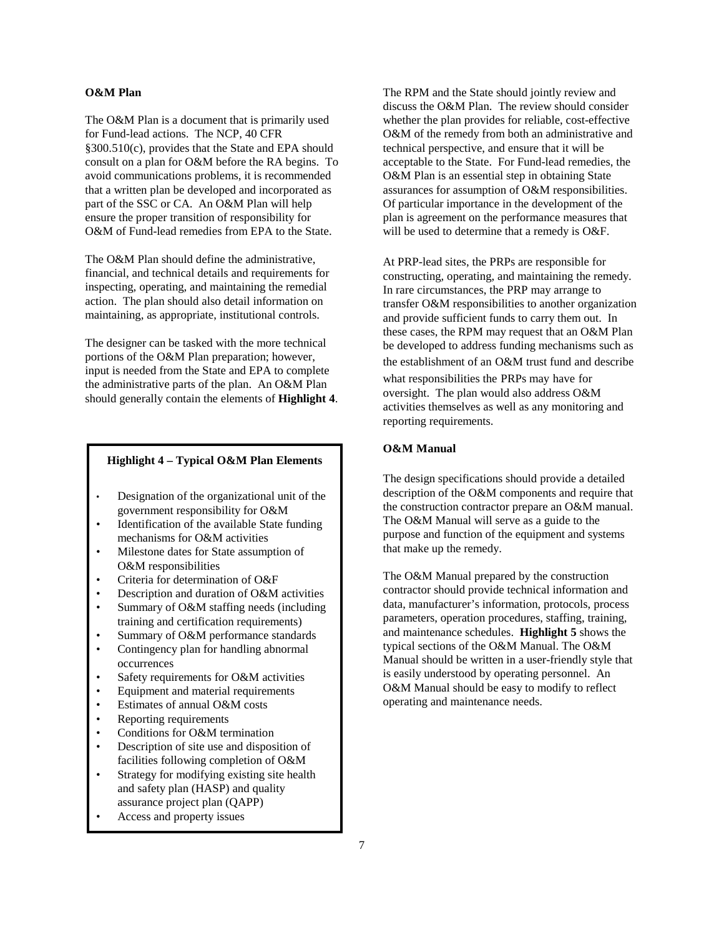#### **O&M Plan**

The O&M Plan is a document that is primarily used for Fund-lead actions. The NCP, 40 CFR §300.510(c), provides that the State and EPA should consult on a plan for O&M before the RA begins. To avoid communications problems, it is recommended that a written plan be developed and incorporated as part of the SSC or CA. An O&M Plan will help ensure the proper transition of responsibility for O&M of Fund-lead remedies from EPA to the State.

The O&M Plan should define the administrative, financial, and technical details and requirements for inspecting, operating, and maintaining the remedial action. The plan should also detail information on maintaining, as appropriate, institutional controls.

The designer can be tasked with the more technical portions of the O&M Plan preparation; however, input is needed from the State and EPA to complete the administrative parts of the plan. An O&M Plan should generally contain the elements of **Highlight 4**.

### **Highlight 4 – Typical O&M Plan Elements**

- Designation of the organizational unit of the government responsibility for O&M
- Identification of the available State funding mechanisms for O&M activities
- Milestone dates for State assumption of O&M responsibilities
- Criteria for determination of O&F
- Description and duration of O&M activities
- Summary of O&M staffing needs (including training and certification requirements)
- Summary of O&M performance standards
- Contingency plan for handling abnormal occurrences
- Safety requirements for O&M activities
- Equipment and material requirements
- Estimates of annual O&M costs
- Reporting requirements
- Conditions for O&M termination
- Description of site use and disposition of facilities following completion of O&M
- Strategy for modifying existing site health and safety plan (HASP) and quality assurance project plan (QAPP)
- Access and property issues

The RPM and the State should jointly review and discuss the O&M Plan. The review should consider whether the plan provides for reliable, cost-effective O&M of the remedy from both an administrative and technical perspective, and ensure that it will be acceptable to the State. For Fund-lead remedies, the O&M Plan is an essential step in obtaining State assurances for assumption of O&M responsibilities. Of particular importance in the development of the plan is agreement on the performance measures that will be used to determine that a remedy is O&F.

At PRP-lead sites, the PRPs are responsible for constructing, operating, and maintaining the remedy. In rare circumstances, the PRP may arrange to transfer O&M responsibilities to another organization and provide sufficient funds to carry them out. In these cases, the RPM may request that an O&M Plan be developed to address funding mechanisms such as the establishment of an O&M trust fund and describe what responsibilities the PRPs may have for oversight. The plan would also address O&M activities themselves as well as any monitoring and reporting requirements.

## **O&M Manual**

The design specifications should provide a detailed description of the O&M components and require that the construction contractor prepare an O&M manual. The O&M Manual will serve as a guide to the purpose and function of the equipment and systems that make up the remedy.

The O&M Manual prepared by the construction contractor should provide technical information and data, manufacturer's information, protocols, process parameters, operation procedures, staffing, training, and maintenance schedules. **Highlight 5** shows the typical sections of the O&M Manual. The O&M Manual should be written in a user-friendly style that is easily understood by operating personnel. An O&M Manual should be easy to modify to reflect operating and maintenance needs.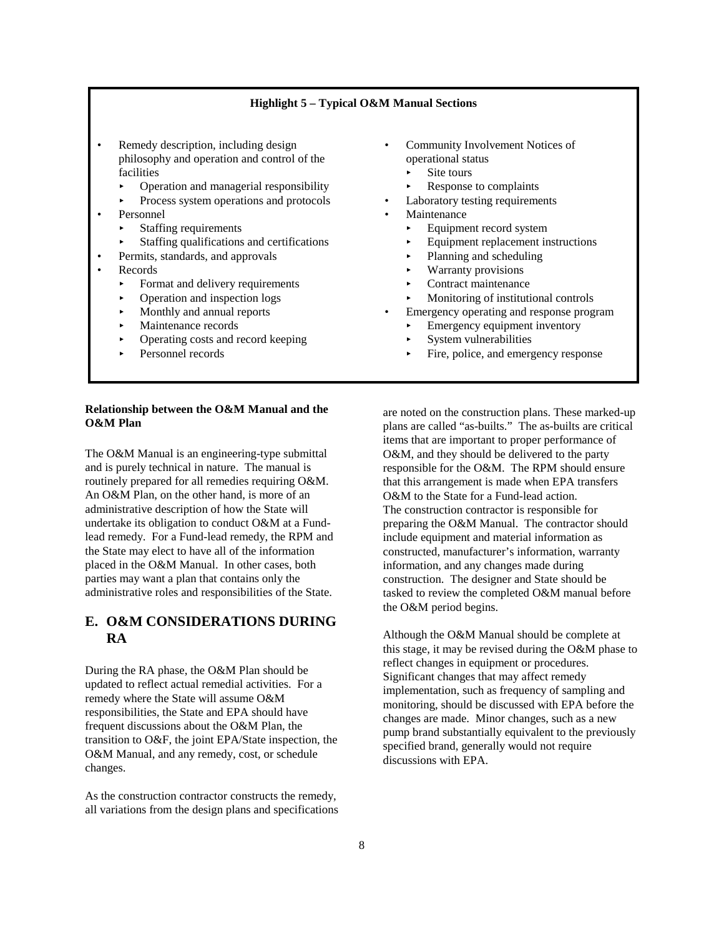## **Highlight 5 – Typical O&M Manual Sections**

- **Remedy description, including design Community Involvement Notices of** philosophy and operation and control of the operational status philosophy and operation and condor or the philosophy operational state of the state of  $\overrightarrow{S}$  Site tours facilities ities<br>Operation and managerial responsibility  $\longrightarrow$  Site tours<br>Response to complaints
	- j.
	- Process system operations and protocols Laboratory testing requirements
- Personnel
	- j.
	- Staffing qualifications and certifications  $\qquad \qquad \qquad$  Equipment replacement instructions
	- Permits, standards, and approvals � Planning and scheduling
- Records
	- Format and delivery requirements  $\qquad \qquad \qquad$  Contract maintenance
	- j.
	- j. j.
	-
	- j. Operating costs and record keeping  $\rightarrow$  System vulnerabilities j.
	-

### **Relationship between the O&M Manual and the O&M Plan**

The O&M Manual is an engineering-type submittal and is purely technical in nature. The manual is routinely prepared for all remedies requiring O&M. An O&M Plan, on the other hand, is more of an administrative description of how the State will undertake its obligation to conduct O&M at a Fundlead remedy. For a Fund-lead remedy, the RPM and the State may elect to have all of the information placed in the O&M Manual. In other cases, both parties may want a plan that contains only the administrative roles and responsibilities of the State.

## **E. O&M CONSIDERATIONS DURING RA**

During the RA phase, the O&M Plan should be updated to reflect actual remedial activities. For a remedy where the State will assume O&M responsibilities, the State and EPA should have frequent discussions about the O&M Plan, the transition to O&F, the joint EPA/State inspection, the O&M Manual, and any remedy, cost, or schedule changes.

As the construction contractor constructs the remedy, all variations from the design plans and specifications

- -
	-
- 
- **Maintenance**
- Staffing requirements **B** Equipment record system
	-
	-
	- **Warranty provisions**
	-
- Operation and inspection logs **b** Monitoring of institutional controls
- Monthly and annual reports **•** Emergency operating and response program
- Maintenance records **b** Emergency equipment inventory
	-
- Personnel records **b** Fire, police, and emergency response

are noted on the construction plans. These marked-up plans are called "as-builts." The as-builts are critical items that are important to proper performance of O&M, and they should be delivered to the party responsible for the O&M. The RPM should ensure that this arrangement is made when EPA transfers O&M to the State for a Fund-lead action. The construction contractor is responsible for preparing the O&M Manual. The contractor should include equipment and material information as constructed, manufacturer's information, warranty information, and any changes made during construction. The designer and State should be tasked to review the completed O&M manual before the O&M period begins.

Although the O&M Manual should be complete at this stage, it may be revised during the O&M phase to reflect changes in equipment or procedures. Significant changes that may affect remedy implementation, such as frequency of sampling and monitoring, should be discussed with EPA before the changes are made. Minor changes, such as a new pump brand substantially equivalent to the previously specified brand, generally would not require discussions with EPA.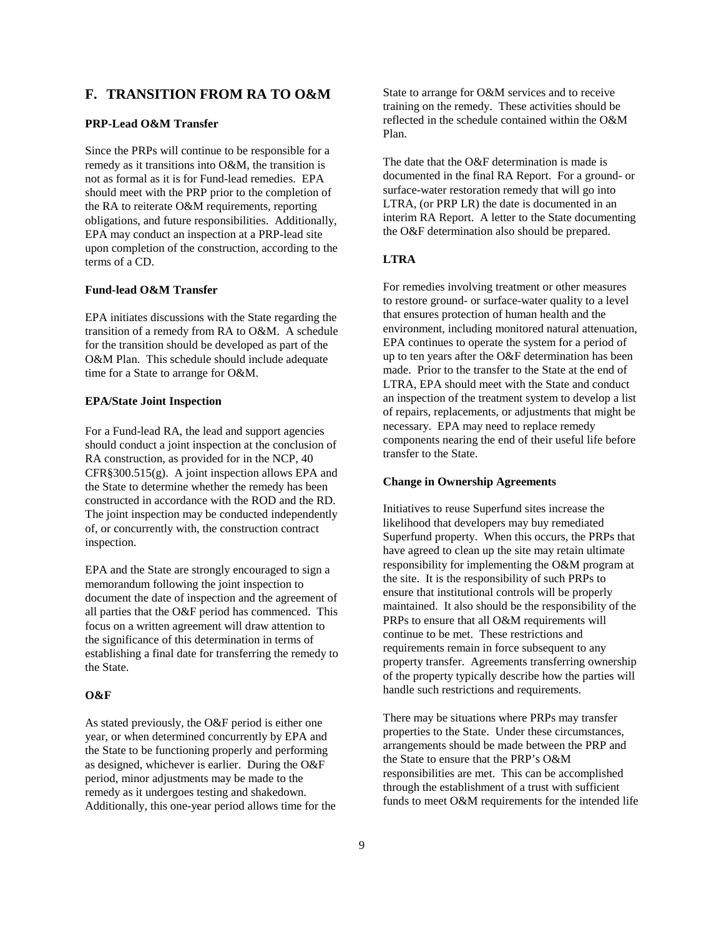## **F. TRANSITION FROM RA TO O&M**

## **PRP-Lead O&M Transfer**

Since the PRPs will continue to be responsible for a remedy as it transitions into O&M, the transition is not as formal as it is for Fund-lead remedies. EPA should meet with the PRP prior to the completion of the RA to reiterate O&M requirements, reporting obligations, and future responsibilities. Additionally, EPA may conduct an inspection at a PRP-lead site upon completion of the construction, according to the terms of a CD.

#### **Fund-lead O&M Transfer**

EPA initiates discussions with the State regarding the transition of a remedy from RA to O&M. A schedule for the transition should be developed as part of the O&M Plan. This schedule should include adequate time for a State to arrange for O&M.

#### **EPA/State Joint Inspection**

For a Fund-lead RA, the lead and support agencies should conduct a joint inspection at the conclusion of RA construction, as provided for in the NCP, 40 CFR§300.515(g). A joint inspection allows EPA and the State to determine whether the remedy has been constructed in accordance with the ROD and the RD. The joint inspection may be conducted independently of, or concurrently with, the construction contract inspection.

EPA and the State are strongly encouraged to sign a memorandum following the joint inspection to document the date of inspection and the agreement of all parties that the O&F period has commenced. This focus on a written agreement will draw attention to the significance of this determination in terms of establishing a final date for transferring the remedy to the State.

### **O&F**

As stated previously, the O&F period is either one year, or when determined concurrently by EPA and the State to be functioning properly and performing as designed, whichever is earlier. During the O&F period, minor adjustments may be made to the remedy as it undergoes testing and shakedown. Additionally, this one-year period allows time for the

State to arrange for O&M services and to receive training on the remedy. These activities should be reflected in the schedule contained within the O&M Plan.

The date that the O&F determination is made is documented in the final RA Report. For a ground- or surface-water restoration remedy that will go into LTRA, (or PRP LR) the date is documented in an interim RA Report. A letter to the State documenting the O&F determination also should be prepared.

## **LTRA**

For remedies involving treatment or other measures to restore ground- or surface-water quality to a level that ensures protection of human health and the environment, including monitored natural attenuation, EPA continues to operate the system for a period of up to ten years after the O&F determination has been made. Prior to the transfer to the State at the end of LTRA, EPA should meet with the State and conduct an inspection of the treatment system to develop a list of repairs, replacements, or adjustments that might be necessary. EPA may need to replace remedy components nearing the end of their useful life before transfer to the State.

### **Change in Ownership Agreements**

Initiatives to reuse Superfund sites increase the likelihood that developers may buy remediated Superfund property. When this occurs, the PRPs that have agreed to clean up the site may retain ultimate responsibility for implementing the O&M program at the site. It is the responsibility of such PRPs to ensure that institutional controls will be properly maintained. It also should be the responsibility of the PRPs to ensure that all O&M requirements will continue to be met. These restrictions and requirements remain in force subsequent to any property transfer. Agreements transferring ownership of the property typically describe how the parties will handle such restrictions and requirements.

There may be situations where PRPs may transfer properties to the State. Under these circumstances, arrangements should be made between the PRP and the State to ensure that the PRP's O&M responsibilities are met. This can be accomplished through the establishment of a trust with sufficient funds to meet O&M requirements for the intended life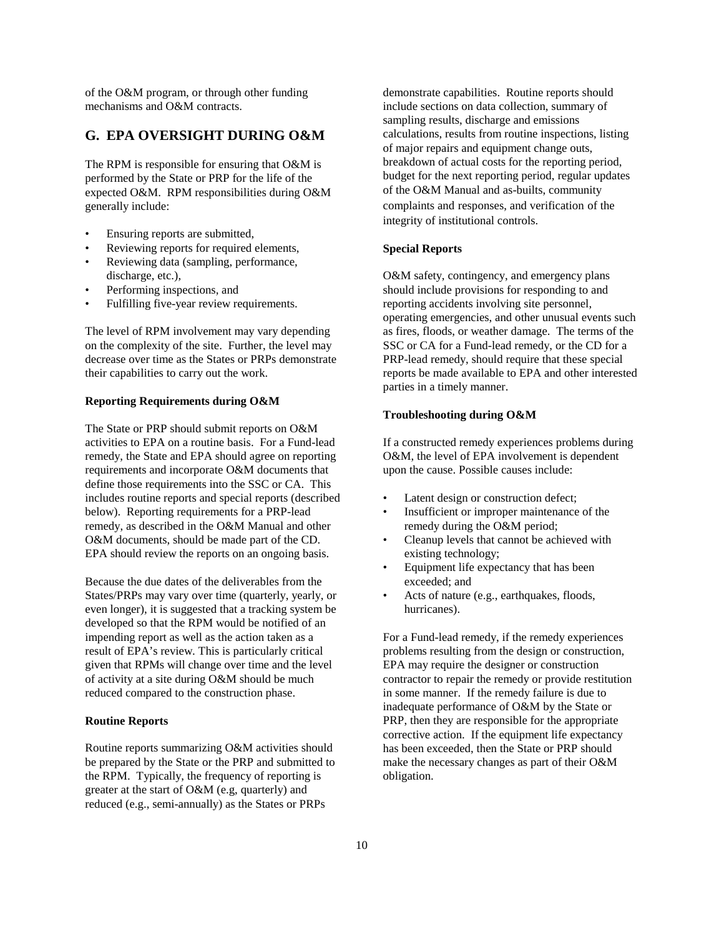of the O&M program, or through other funding mechanisms and O&M contracts.

## **G. EPA OVERSIGHT DURING O&M**

The RPM is responsible for ensuring that O&M is performed by the State or PRP for the life of the expected O&M. RPM responsibilities during O&M generally include:

- Ensuring reports are submitted,
- Reviewing reports for required elements,
- Reviewing data (sampling, performance, discharge, etc.),
- Performing inspections, and
- Fulfilling five-year review requirements.

The level of RPM involvement may vary depending on the complexity of the site. Further, the level may decrease over time as the States or PRPs demonstrate their capabilities to carry out the work.

#### **Reporting Requirements during O&M**

The State or PRP should submit reports on O&M activities to EPA on a routine basis. For a Fund-lead remedy, the State and EPA should agree on reporting requirements and incorporate O&M documents that define those requirements into the SSC or CA. This includes routine reports and special reports (described below). Reporting requirements for a PRP-lead remedy, as described in the O&M Manual and other O&M documents, should be made part of the CD. EPA should review the reports on an ongoing basis.

Because the due dates of the deliverables from the States/PRPs may vary over time (quarterly, yearly, or even longer), it is suggested that a tracking system be developed so that the RPM would be notified of an impending report as well as the action taken as a result of EPA's review. This is particularly critical given that RPMs will change over time and the level of activity at a site during O&M should be much reduced compared to the construction phase.

### **Routine Reports**

Routine reports summarizing O&M activities should be prepared by the State or the PRP and submitted to the RPM. Typically, the frequency of reporting is greater at the start of O&M (e.g, quarterly) and reduced (e.g., semi-annually) as the States or PRPs

demonstrate capabilities. Routine reports should include sections on data collection, summary of sampling results, discharge and emissions calculations, results from routine inspections, listing of major repairs and equipment change outs, breakdown of actual costs for the reporting period, budget for the next reporting period, regular updates of the O&M Manual and as-builts, community

complaints and responses, and verification of the integrity of institutional controls.

#### **Special Reports**

O&M safety, contingency, and emergency plans should include provisions for responding to and reporting accidents involving site personnel, operating emergencies, and other unusual events such as fires, floods, or weather damage. The terms of the SSC or CA for a Fund-lead remedy, or the CD for a PRP-lead remedy, should require that these special reports be made available to EPA and other interested parties in a timely manner.

### **Troubleshooting during O&M**

If a constructed remedy experiences problems during O&M, the level of EPA involvement is dependent upon the cause. Possible causes include:

- Latent design or construction defect;
- Insufficient or improper maintenance of the remedy during the O&M period;
- • Cleanup levels that cannot be achieved with existing technology;
- Equipment life expectancy that has been exceeded; and
- Acts of nature (e.g., earthquakes, floods, hurricanes).

For a Fund-lead remedy, if the remedy experiences problems resulting from the design or construction, EPA may require the designer or construction contractor to repair the remedy or provide restitution in some manner. If the remedy failure is due to inadequate performance of O&M by the State or PRP, then they are responsible for the appropriate corrective action. If the equipment life expectancy has been exceeded, then the State or PRP should make the necessary changes as part of their O&M obligation.